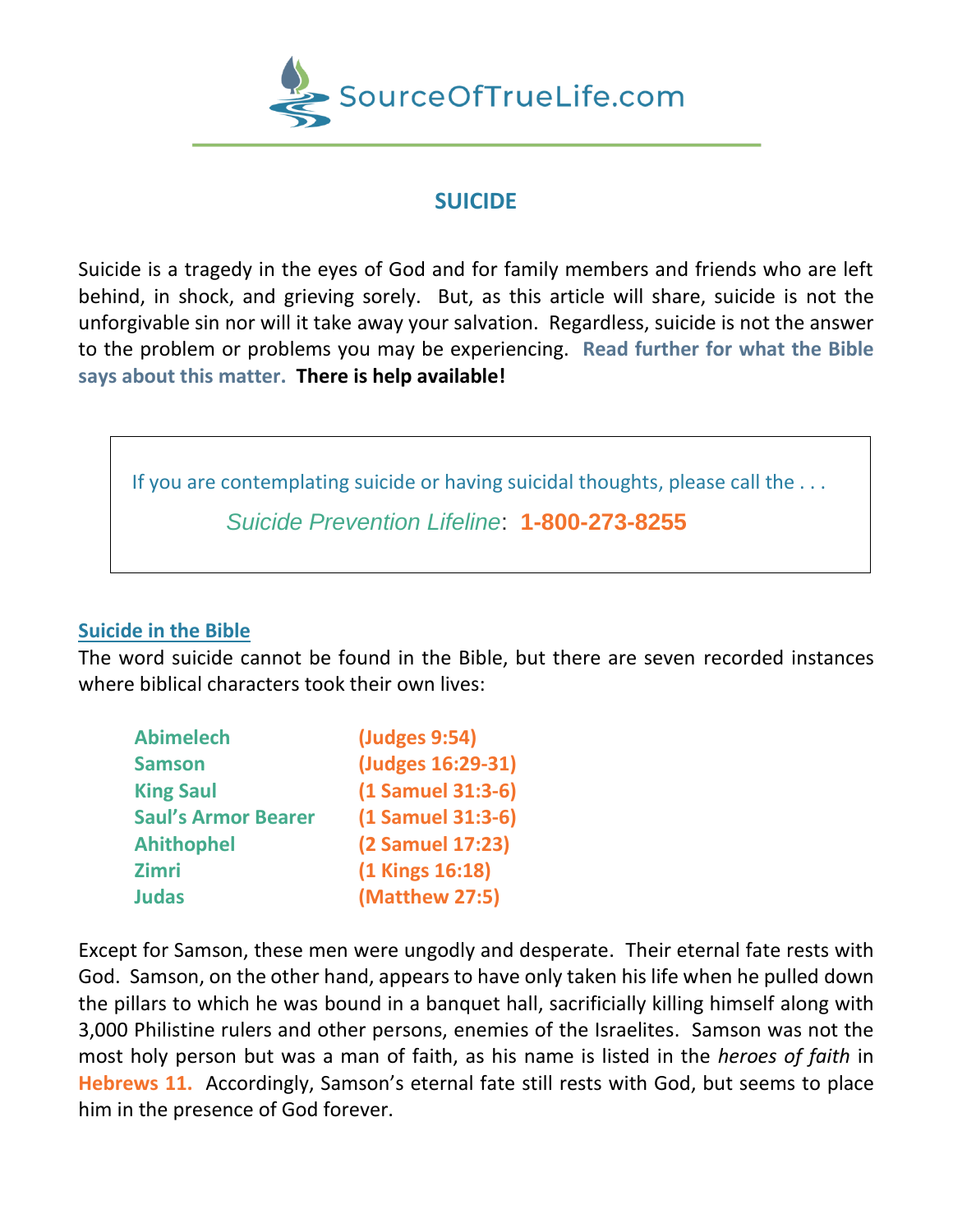

## **SUICIDE**

Suicide is a tragedy in the eyes of God and for family members and friends who are left behind, in shock, and grieving sorely. But, as this article will share, suicide is not the unforgivable sin nor will it take away your salvation. Regardless, suicide is not the answer to the problem or problems you may be experiencing. **Read further for what the Bible says about this matter. There is help available!**



## **Suicide in the Bible**

The word suicide cannot be found in the Bible, but there are seven recorded instances where biblical characters took their own lives:

| <b>Abimelech</b>           | (Judges 9:54)     |
|----------------------------|-------------------|
| <b>Samson</b>              | (Judges 16:29-31) |
| <b>King Saul</b>           | (1 Samuel 31:3-6) |
| <b>Saul's Armor Bearer</b> | (1 Samuel 31:3-6) |
| <b>Ahithophel</b>          | (2 Samuel 17:23)  |
| <b>Zimri</b>               | (1 Kings 16:18)   |
| <b>Judas</b>               | (Matthew 27:5)    |

Except for Samson, these men were ungodly and desperate. Their eternal fate rests with God. Samson, on the other hand, appears to have only taken his life when he pulled down the pillars to which he was bound in a banquet hall, sacrificially killing himself along with 3,000 Philistine rulers and other persons, enemies of the Israelites. Samson was not the most holy person but was a man of faith, as his name is listed in the *heroes of faith* in **Hebrews 11.** Accordingly, Samson's eternal fate still rests with God, but seems to place him in the presence of God forever.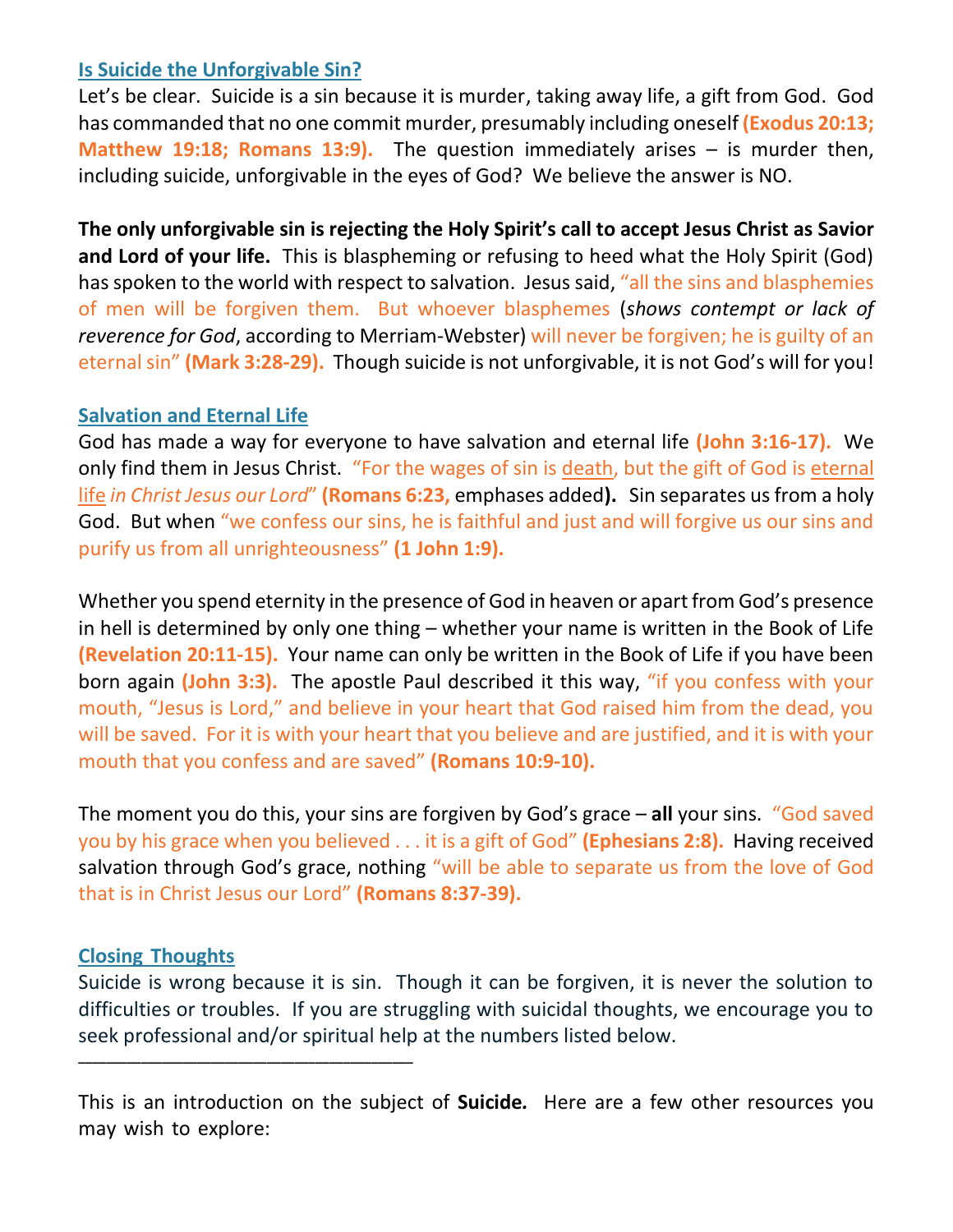#### **Is Suicide the Unforgivable Sin?**

Let's be clear. Suicide is a sin because it is murder, taking away life, a gift from God. God has commanded that no one commit murder, presumably including oneself **(Exodus 20:13; Matthew 19:18; Romans 13:9).** The question immediately arises – is murder then, including suicide, unforgivable in the eyes of God? We believe the answer is NO.

**The only unforgivable sin is rejecting the Holy Spirit's call to accept Jesus Christ as Savior and Lord of your life.** This is blaspheming or refusing to heed what the Holy Spirit (God) has spoken to the world with respect to salvation. Jesus said, "all the sins and blasphemies of men will be forgiven them. But whoever blasphemes (*shows contempt or lack of reverence for God*, according to Merriam-Webster) will never be forgiven; he is guilty of an eternal sin" **(Mark 3:28-29).** Though suicide is not unforgivable, it is not God's will for you!

#### **Salvation and Eternal Life**

God has made a way for everyone to have salvation and eternal life **(John 3:16-17).** We only find them in Jesus Christ. "For the wages of sin is death, but the gift of God is eternal life *in Christ Jesus our Lord*" **(Romans 6:23,** emphases added**).** Sin separates us from a holy God. But when "we confess our sins, he is faithful and just and will forgive us our sins and purify us from all unrighteousness" **(1 John 1:9).**

Whether you spend eternity in the presence of God in heaven or apart from God's presence in hell is determined by only one thing – whether your name is written in the Book of Life **(Revelation 20:11-15).** Your name can only be written in the Book of Life if you have been born again **(John 3:3).** The apostle Paul described it this way, "if you confess with your mouth, "Jesus is Lord," and believe in your heart that God raised him from the dead, you will be saved. For it is with your heart that you believe and are justified, and it is with your mouth that you confess and are saved" **(Romans 10:9-10).**

The moment you do this, your sins are forgiven by God's grace – **all** your sins. "God saved you by his grace when you believed . . . it is a gift of God" **(Ephesians 2:8).** Having received salvation through God's grace, nothing "will be able to separate us from the love of God that is in Christ Jesus our Lord" **(Romans 8:37-39).**

## **Closing Thoughts**

**\_\_\_\_\_\_\_\_\_\_\_\_\_\_\_\_\_\_\_\_\_\_\_\_\_\_\_\_\_\_\_\_\_\_\_\_\_\_\_\_\_\_\_\_\_\_\_\_**

Suicide is wrong because it is sin. Though it can be forgiven, it is never the solution to difficulties or troubles. If you are struggling with suicidal thoughts, we encourage you to seek professional and/or spiritual help at the numbers listed below.

This is an introduction on the subject of **Suicide***.* Here are a few other resources you may wish to explore: